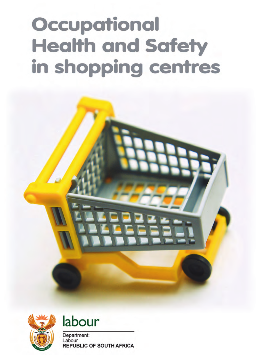# Occupational **Health and Safety** in shopping centres







Department: Labour **REPUBLIC OF SOUTH AFRICA**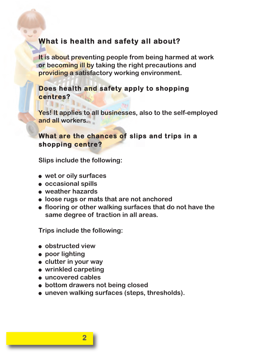# **What is health and safety all about?**

**It is about preventing people from being harmed at work or becoming ill by taking the right precautions and providing a satisfactory working environment.**

#### **Does health and safety apply to shopping centres?**

**Yes! It applies to all businesses, also to the self-employed and all workers.**

#### **What are the chances of slips and trips in a shopping centre?**

**Slips include the following:**

- **wet or oily surfaces**
- **occasional spills**
- **weather hazards**
- **loose rugs or mats that are not anchored**
- **flooring or other walking surfaces that do not have the same degree of traction in all areas.**

**Trips include the following:**

- **obstructed view**
- **poor lighting**
- **clutter in your way**
- **wrinkled carpeting**
- **uncovered cables**
- **bottom drawers not being closed**
- **uneven walking surfaces (steps, thresholds).**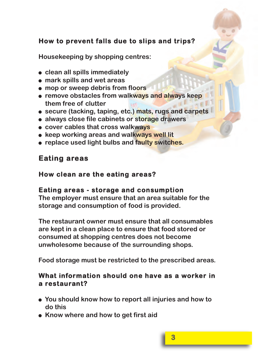# **How to prevent falls due to slips and trips?**

**Housekeeping by shopping centres:**

- **clean all spills immediately**
- **mark spills and wet areas**
- **mop or sweep debris from floors**
- **remove obstacles from walkways and always keep them free of clutter**
- **secure (tacking, taping, etc.) mats, rugs and carpets**
- **always close file cabinets or storage drawers**
- **cover cables that cross walkways**
- **keep working areas and walkways well lit**
- **replace used light bulbs and faulty switches.**

# **Eating areas**

### **How clean are the eating areas?**

#### **Eating areas - storage and consumption**

**The employer must ensure that an area suitable for the storage and consumption of food is provided.**

**The restaurant owner must ensure that all consumables are kept in a clean place to ensure that food stored or consumed at shopping centres does not become unwholesome because of the surrounding shops.**

**Food storage must be restricted to the prescribed areas.**

#### **What information should one have as a worker in a restaurant?**

- **You should know how to report all injuries and how to do this**
- **Know where and how to get first aid**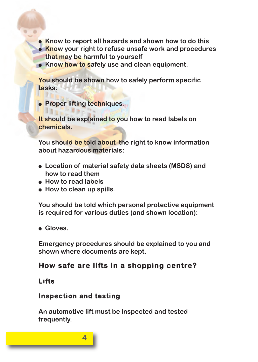- **Know to report all hazards and shown how to do this**
- **Know your right to refuse unsafe work and procedures that may be harmful to yourself**
- **Know how to safely use and clean equipment.**

**You should be shown how to safely perform specific tasks:**

● **Proper lifting techniques.**

**It should be explained to you how to read labels on chemicals.**

**You should be told about the right to know information about hazardous materials:**

- **Location of material safety data sheets (MSDS) and how to read them**
- **How to read labels**
- **How to clean up spills.**

**You should be told which personal protective equipment is required for various duties (and shown location):**

● **Gloves.**

**Emergency procedures should be explained to you and shown where documents are kept.**

# **How safe are lifts in a shopping centre?**

#### **Lifts**

## **Inspection and testing**

**4**

**An automotive lift must be inspected and tested frequently.**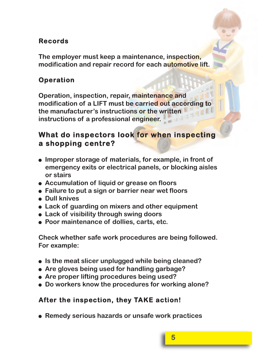# **Records**

**The employer must keep a maintenance, inspection, modification and repair record for each automotive lift.**

# **Operation**

**Operation, inspection, repair, maintenance and modification of a LIFT must be carried out according to the manufacturer's instructions or the written instructions of a professional engineer.**

# **What do inspectors look for when inspecting a shopping centre?**

- **Improper storage of materials, for example, in front of emergency exits or electrical panels, or blocking aisles or stairs**
- **Accumulation of liquid or grease on floors**
- **Failure to put a sign or barrier near wet floors**
- **Dull knives**
- **Lack of guarding on mixers and other equipment**
- **Lack of visibility through swing doors**
- **Poor maintenance of dollies, carts, etc.**

**Check whether safe work procedures are being followed. For example:**

- **Is the meat slicer unplugged while being cleaned?**
- **Are gloves being used for handling garbage?**
- **Are proper lifting procedures being used?**
- **Do workers know the procedures for working alone?**

# **After the inspection, they TAKE action!**

● **Remedy serious hazards or unsafe work practices**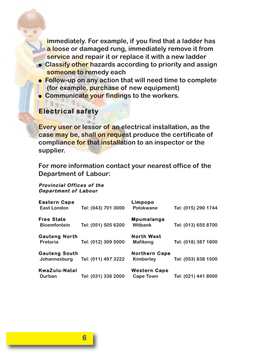**immediately. For example, if you find that a ladder has a loose or damaged rung, immediately remove it from service and repair it or replace it with a new ladder**

- **Classify other hazards according to priority and assign someone to remedy each**
- **Follow-up on any action that will need time to complete (for example, purchase of new equipment)**
- **Communicate your findings to the workers.**

#### **Electrical safety**

**Every user or lessor of an electrical installation, as the case may be, shall on request produce the certificate of compliance for that installation to an inspector or the supplier.**

**For more information contact your nearest office of the Department of Labour:**

#### **Provincial Offices of the Department of Labour**

| <b>Eastern Cape</b><br><b>East London</b> | Tel: (043) 701 3000 | Limpopo<br>Polokwane                    | Tel: (015) 290 1744 |
|-------------------------------------------|---------------------|-----------------------------------------|---------------------|
| <b>Free State</b><br><b>Bloemfontein</b>  | Tel: (051) 505 6200 | <b>Mpumalanga</b><br>Witbank            | Tel: (013) 655 8700 |
| <b>Gauteng North</b><br>Pretoria          | Tel: (012) 309 5000 | <b>North West</b><br>Mafikeng           | Tel: (018) 387 1800 |
| <b>Gauteng South</b><br>Johannesburg      | Tel: (011) 497 3222 | <b>Northern Cape</b><br>Kimberley       | Tel: (053) 838 1500 |
| KwaZulu-Natal<br>Durban                   | Tel: (031) 336 2000 | <b>Western Cape</b><br><b>Cape Town</b> | Tel: (021) 441 8000 |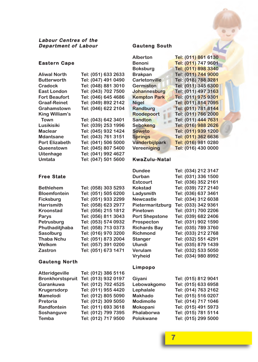#### **Eastern Cape**

| Aliwal North       | Tel: (051) 633 2633 |
|--------------------|---------------------|
| <b>Butterworth</b> | Tel: (047) 491 0490 |
| Cradock            | Tel: (048) 881 3010 |
| East London        | Tel: (043) 702 7500 |
| Fort Beaufort      | Tel: (046) 645 4686 |
| Graaf-Reinet       | Tel: (049) 892 2142 |
| Grahamstown        | Tel: (046) 622 2104 |
| King William's     |                     |
| Town               | Tel: (043) 642 3401 |
| Lusikisiki         | Tel: (039) 253 1996 |
| Maclear            | Tel: (045) 932 1424 |
| Mdantsane          | Tel: (043) 761 3151 |
| Port Elizabeth     | Tel: (041) 506 5000 |
| Queenstown         | Tel: (045) 807 5400 |
| Uitenhage          | Tel: (041) 992 4627 |
| Umtata             | Tel: (047) 501 5600 |

#### **Gauteng South**

**Aliwal North Tel: (051) 633 2633**

**Cradock Tel: (048) 881 3010 East London Tel: (043) 702 7500 Fort Beaufort Tel: (046) 645 4686 Graaf-Reinet Tel: (049) 892 2142 Grahamstown Tel: (046) 622 2104**

**Town Tel: (043) 642 3401 Lusikisiki Tel: (039) 253 1996 Maclear Tel: (045) 932 1424 Mdantsane Tel: (043) 761 3151 Port Elizabeth Tel: (041) 506 5000 Queenstown Tel: (045) 807 5400 Uitenhage Tel: (041) 992 4627 Umtata Tel: (047) 501 5600**

| <b>Alberton</b>       | Tel: (011) 861 6130 |
|-----------------------|---------------------|
| <b>Benoni</b>         | Tel: (011) 747 9601 |
| <b>Boksburg</b>       | Tel: (011) 898 3340 |
| <b>Brakpan</b>        | Tel: (011) 744 9000 |
| <b>Carletonville</b>  | Tel: (018) 788 3281 |
| Germiston             | Tel: (011) 345 6300 |
| Johannesburg          | Tel: (011) 497 3163 |
| <b>Kempton Park</b>   | Tel: (011) 975 9301 |
| <b>Nigel</b>          | Tel: (011) 814 7095 |
| Randburg              | Tel: (011) 781 8144 |
| Roodepoort            | Tel: (011) 766 2000 |
| <b>Sandton</b>        | Tel: (011) 444 7631 |
| Sebokeng              | Tel: (016) 988 2626 |
| Soweto                | Tel: (011) 939 1200 |
| <b>Springs</b>        | Tel: (011) 362 6636 |
| <b>Vanderbijlpark</b> | Tel: (016) 981 0280 |
| Vereeniging           | Tel: (016) 430 0000 |
|                       |                     |

#### **KwaZulu-Natal**

#### **Free State**

| <b>Bethlehem</b>    | Tel: (058) 303 5293 |
|---------------------|---------------------|
| <b>Bloemfontein</b> | Tel: (051) 505 6200 |
| <b>Ficksburg</b>    | Tel: (051) 933 2299 |
| <b>Harrismith</b>   | Tel: (058) 623 2977 |
| Kroonstad           | Tel: (056) 215 1812 |
| Parys               | Tel: (056) 811 3043 |
| Petrusburg          | Tel: (053) 574 0932 |
| Phuthaditjhaba      | Tel: (058) 713 0373 |
| Sasolburg           | Tel: (016) 970 3200 |
| Thaba Nchu          | Tel: (051) 873 2004 |
| Welkom              | Tel: (057) 391 0200 |
| Zastron             | Tel: (051) 673 1471 |

#### **Gauteng Nor th**

| Atteridgeville          | Tel: (012) 386 5116 |
|-------------------------|---------------------|
| <b>Bronkhorstspruit</b> | Tel: (013) 932 0197 |
| Garankuwa               | Tel: (012) 702 4525 |
| Krugersdorp             | Tel: (011) 955 4420 |
| Mamelodi                | Tel: (012) 805 5090 |
| Pretoria                | Tel: (012) 309 5050 |
| Randfontein             | Tel: (011) 693 3618 |
| Soshanguve              | Tel: (012) 799 7395 |
| Temba                   | Tel: (012) 717 9500 |

| <b>Dundee</b>         | Tel: (034) 212 3147 |
|-----------------------|---------------------|
| Durban                | Tel: (031) 336 1500 |
| Estcourt              | Tel: (036) 352 2161 |
| Kokstad               | Tel: (039) 727 2140 |
| Ladysmith             | Tel: (036) 637 3461 |
| <b>Newcastle</b>      | Tel: (034) 312 6038 |
| Pietermaritzburg      | Tel: (033) 342 9361 |
| Pinetown              | Tel: (031) 700 2206 |
| <b>Port Shepstone</b> | Tel: (039) 682 2406 |
| Prospecton            | Tel: (031) 902 1590 |
| <b>Richards Bay</b>   | Tel: (035) 789 3760 |
| Richmond              | Tel: (033) 212 2768 |
| Stanger               | Tel: (032) 551 4291 |
| Ulundi                | Tel: (035) 879 1439 |
| Verulam               | Tel: (032) 533 5050 |
| Vryheid               | Tel: (034) 980 8992 |
|                       |                     |

#### **Limpopo**

| Giyani           | Tel: (015) 812 9041 |
|------------------|---------------------|
| Lebowakgomo      | Tel: (015) 633 6958 |
| Lephalale        | Tel: (014) 763 2162 |
| <b>Makhado</b>   | Tel: (015) 516 0207 |
| <b>Modimolle</b> | Tel: (014) 717 1046 |
| Mokopani         | Tel: (015) 491 5973 |
| Phalaborwa       | Tel: (015) 781 5114 |
| Polokwane        | Tel: (015) 299 5000 |